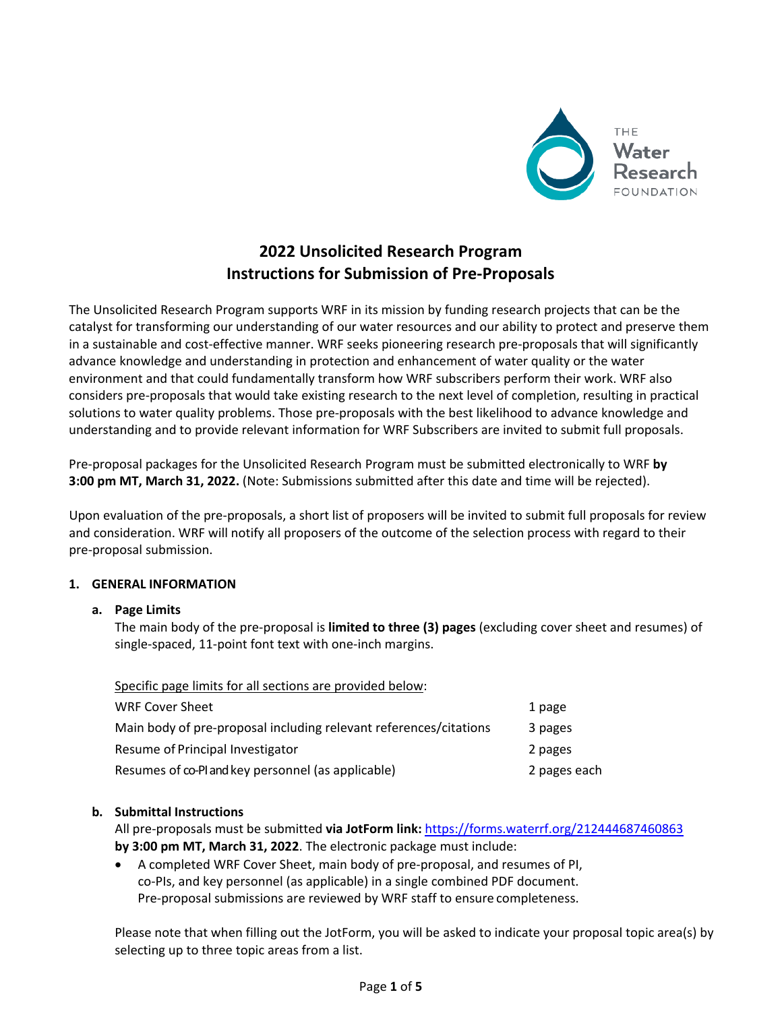

# **2022 Unsolicited Research Program Instructions for Submission of Pre-Proposals**

The Unsolicited Research Program supports WRF in its mission by funding research projects that can be the catalyst for transforming our understanding of our water resources and our ability to protect and preserve them in a sustainable and cost-effective manner. WRF seeks pioneering research pre-proposals that will significantly advance knowledge and understanding in protection and enhancement of water quality or the water environment and that could fundamentally transform how WRF subscribers perform their work. WRF also considers pre-proposals that would take existing research to the next level of completion, resulting in practical solutions to water quality problems. Those pre-proposals with the best likelihood to advance knowledge and understanding and to provide relevant information for WRF Subscribers are invited to submit full proposals.

Pre-proposal packages for the Unsolicited Research Program must be submitted electronically to WRF **by 3:00 pm MT, March 31, 2022.** (Note: Submissions submitted after this date and time will be rejected).

Upon evaluation of the pre-proposals, a short list of proposers will be invited to submit full proposals for review and consideration. WRF will notify all proposers of the outcome of the selection process with regard to their pre-proposal submission.

#### **1. GENERAL INFORMATION**

# **a. Page Limits**

The main body of the pre-proposal is **limited to three (3) pages** (excluding cover sheet and resumes) of single-spaced, 11-point font text with one-inch margins.

| Specific page limits for all sections are provided below:         |              |
|-------------------------------------------------------------------|--------------|
| <b>WRF Cover Sheet</b>                                            | 1 page       |
| Main body of pre-proposal including relevant references/citations | 3 pages      |
| Resume of Principal Investigator                                  | 2 pages      |
| Resumes of co-Pland key personnel (as applicable)                 | 2 pages each |

# **b. Submittal Instructions**

All pre-proposals must be submitted **via JotForm link:** <https://forms.waterrf.org/212444687460863> **by 3:00 pm MT, March 31, 2022**. The electronic package must include:

• A completed WRF Cover Sheet, main body of pre-proposal, and resumes of PI, co-PIs, and key personnel (as applicable) in a single combined PDF document. Pre-proposal submissions are reviewed by WRF staff to ensure completeness.

Please note that when filling out the JotForm, you will be asked to indicate your proposal topic area(s) by selecting up to three topic areas from a list.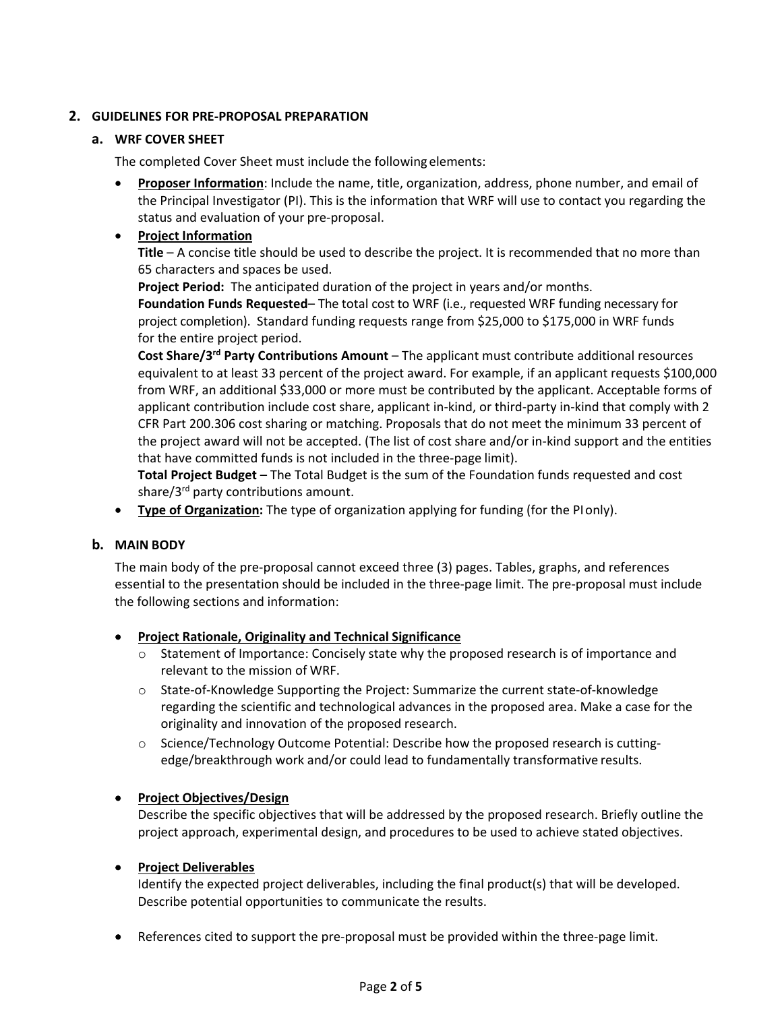### **2. GUIDELINES FOR PRE-PROPOSAL PREPARATION**

#### **a. WRF COVER SHEET**

The completed Cover Sheet must include the following elements:

• **Proposer Information**: Include the name, title, organization, address, phone number, and email of the Principal Investigator (PI). This is the information that WRF will use to contact you regarding the status and evaluation of your pre-proposal.

# • **Project Information**

**Title** – A concise title should be used to describe the project. It is recommended that no more than 65 characters and spaces be used.

**Project Period:** The anticipated duration of the project in years and/or months.

**Foundation Funds Requested**– The total cost to WRF (i.e., requested WRF funding necessary for project completion). Standard funding requests range from \$25,000 to \$175,000 in WRF funds for the entire project period.

**Cost Share/3rd Party Contributions Amount** – The applicant must contribute additional resources equivalent to at least 33 percent of the project award. For example, if an applicant requests \$100,000 from WRF, an additional \$33,000 or more must be contributed by the applicant. Acceptable forms of applicant contribution include cost share, applicant in-kind, or third-party in-kind that comply with 2 CFR Part 200.306 cost sharing or matching. Proposals that do not meet the minimum 33 percent of the project award will not be accepted. (The list of cost share and/or in-kind support and the entities that have committed funds is not included in the three-page limit).

**Total Project Budget** – The Total Budget is the sum of the Foundation funds requested and cost share/3<sup>rd</sup> party contributions amount.

• **Type of Organization:** The type of organization applying for funding (for the PIonly).

#### **b. MAIN BODY**

The main body of the pre-proposal cannot exceed three (3) pages. Tables, graphs, and references essential to the presentation should be included in the three-page limit. The pre-proposal must include the following sections and information:

#### • **Project Rationale, Originality and Technical Significance**

- $\circ$  Statement of Importance: Concisely state why the proposed research is of importance and relevant to the mission of WRF.
- o State-of-Knowledge Supporting the Project: Summarize the current state-of-knowledge regarding the scientific and technological advances in the proposed area. Make a case for the originality and innovation of the proposed research.
- o Science/Technology Outcome Potential: Describe how the proposed research is cuttingedge/breakthrough work and/or could lead to fundamentally transformative results.

# • **Project Objectives/Design**

Describe the specific objectives that will be addressed by the proposed research. Briefly outline the project approach, experimental design, and procedures to be used to achieve stated objectives.

#### • **Project Deliverables**

Identify the expected project deliverables, including the final product(s) that will be developed. Describe potential opportunities to communicate the results.

• References cited to support the pre-proposal must be provided within the three-page limit.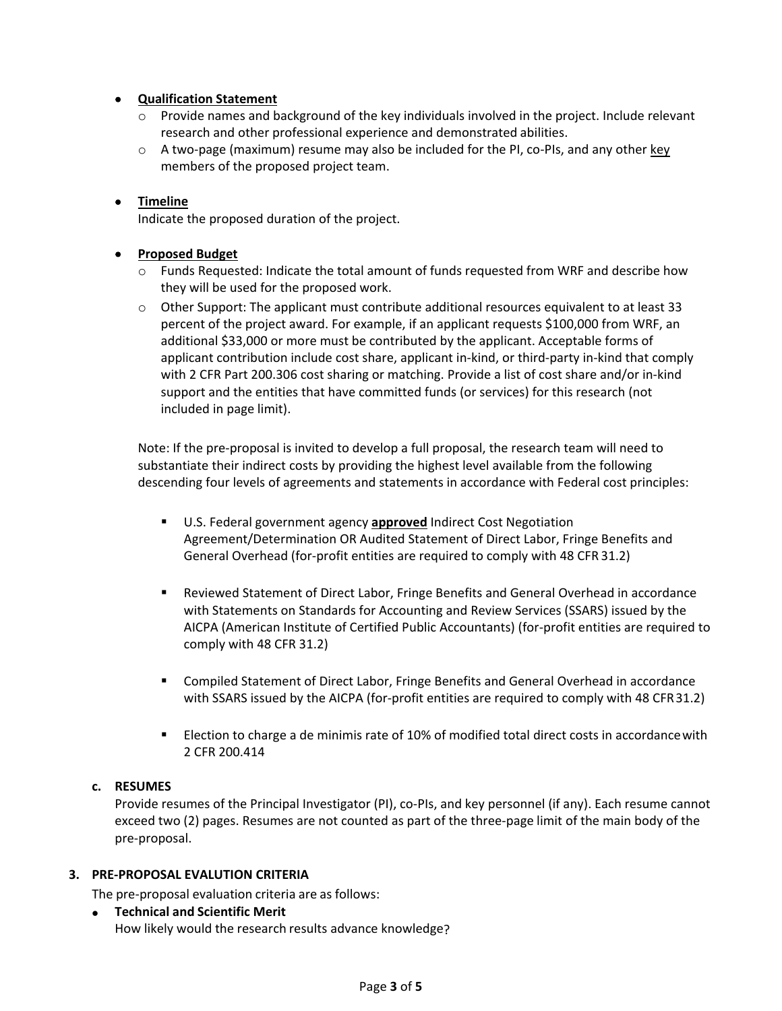#### • **Qualification Statement**

- $\circ$  Provide names and background of the key individuals involved in the project. Include relevant research and other professional experience and demonstrated abilities.
- $\circ$  A two-page (maximum) resume may also be included for the PI, co-PIs, and any other key members of the proposed project team.

### • **Timeline**

Indicate the proposed duration of the project.

#### • **Proposed Budget**

- o Funds Requested: Indicate the total amount of funds requested from WRF and describe how they will be used for the proposed work.
- $\circ$  Other Support: The applicant must contribute additional resources equivalent to at least 33 percent of the project award. For example, if an applicant requests \$100,000 from WRF, an additional \$33,000 or more must be contributed by the applicant. Acceptable forms of applicant contribution include cost share, applicant in-kind, or third-party in-kind that comply with 2 CFR Part 200.306 cost sharing or matching. Provide a list of cost share and/or in-kind support and the entities that have committed funds (or services) for this research (not included in page limit).

Note: If the pre-proposal is invited to develop a full proposal, the research team will need to substantiate their indirect costs by providing the highest level available from the following descending four levels of agreements and statements in accordance with Federal cost principles:

- U.S. Federal government agency **approved** Indirect Cost Negotiation Agreement/Determination OR Audited Statement of Direct Labor, Fringe Benefits and General Overhead (for-profit entities are required to comply with 48 CFR 31.2)
- Reviewed Statement of Direct Labor, Fringe Benefits and General Overhead in accordance with Statements on Standards for Accounting and Review Services (SSARS) issued by the AICPA (American Institute of Certified Public Accountants) (for-profit entities are required to comply with 48 CFR 31.2)
- Compiled Statement of Direct Labor, Fringe Benefits and General Overhead in accordance with SSARS issued by the AICPA (for-profit entities are required to comply with 48 CFR31.2)
- **ELECT 2016** Election to charge a de minimis rate of 10% of modified total direct costs in accordance with 2 CFR 200.414

#### **c. RESUMES**

Provide resumes of the Principal Investigator (PI), co-PIs, and key personnel (if any). Each resume cannot exceed two (2) pages. Resumes are not counted as part of the three-page limit of the main body of the pre-proposal.

#### **3. PRE-PROPOSAL EVALUTION CRITERIA**

The pre-proposal evaluation criteria are as follows:

• **Technical and Scientific Merit** How likely would the research results advance knowledge?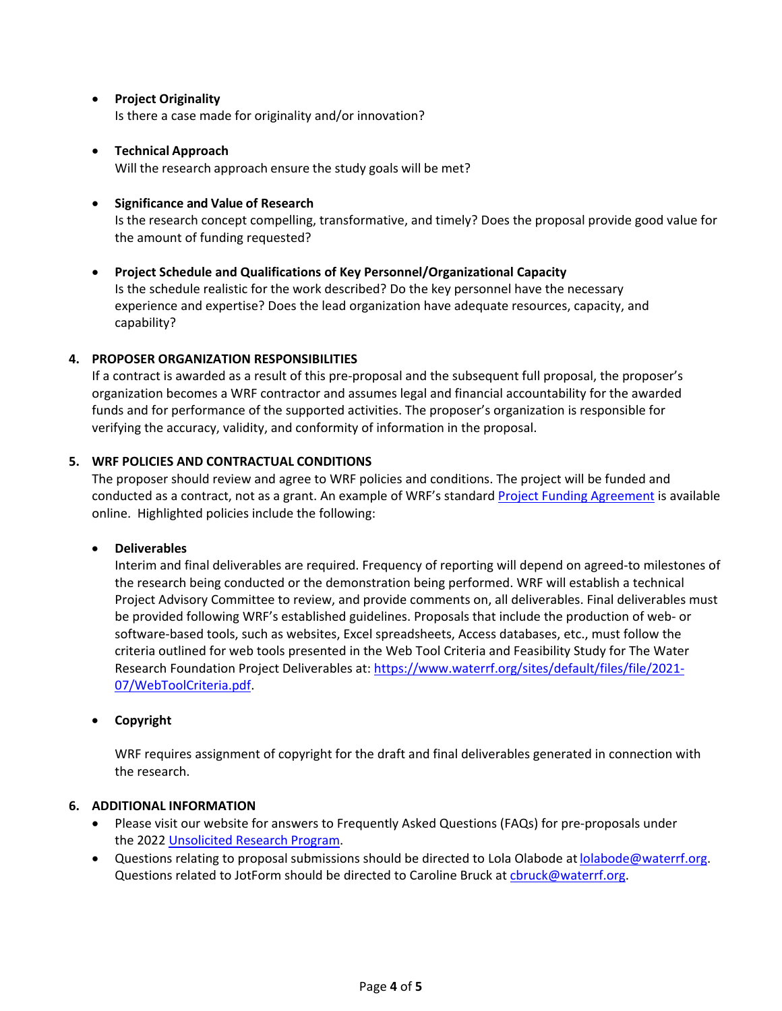• **Project Originality**

Is there a case made for originality and/or innovation?

• **Technical Approach**

Will the research approach ensure the study goals will be met?

#### • **Significance and Value of Research**

Is the research concept compelling, transformative, and timely? Does the proposal provide good value for the amount of funding requested?

#### • **Project Schedule and Qualifications of Key Personnel/Organizational Capacity**

Is the schedule realistic for the work described? Do the key personnel have the necessary experience and expertise? Does the lead organization have adequate resources, capacity, and capability?

#### **4. PROPOSER ORGANIZATION RESPONSIBILITIES**

If a contract is awarded as a result of this pre-proposal and the subsequent full proposal, the proposer's organization becomes a WRF contractor and assumes legal and financial accountability for the awarded funds and for performance of the supported activities. The proposer's organization is responsible for verifying the accuracy, validity, and conformity of information in the proposal.

#### **5. WRF POLICIES AND CONTRACTUAL CONDITIONS**

The proposer should review and agree to WRF policies and conditions. The project will be funded and conducted as a contract, not as a grant. An example of WRF's standard [Project Funding Agreement](https://www.waterrf.org/sites/default/files/file/2021-12/WRF%20standard%20PFA%20template%20%2811-5-21%29.pdf) is available online. Highlighted policies include the following:

#### • **Deliverables**

Interim and final deliverables are required. Frequency of reporting will depend on agreed-to milestones of the research being conducted or the demonstration being performed. WRF will establish a technical Project Advisory Committee to review, and provide comments on, all deliverables. Final deliverables must be provided following WRF's established guidelines. Proposals that include the production of web- or software-based tools, such as websites, Excel spreadsheets, Access databases, etc., must follow the criteria outlined for web tools presented in the Web Tool Criteria and Feasibility Study for The Water Research Foundation Project Deliverables at: [https://www.waterrf.org/sites/default/files/file/2021-](https://www.waterrf.org/sites/default/files/file/2021-07/WebToolCriteria.pdf) [07/WebToolCriteria.pdf.](https://www.waterrf.org/sites/default/files/file/2021-07/WebToolCriteria.pdf)

#### • **Copyright**

WRF requires assignment of copyright for the draft and final deliverables generated in connection with the research.

#### **6. ADDITIONAL INFORMATION**

- Please visit our website for answers to Frequently Asked Questions (FAQs) for pre-proposals under the 2022 [Unsolicited Research](https://www.waterrf.org/unsolicited-research-program-0) Program.
- Questions relating to proposal submissions should be directed to Lola Olabode at lolabode@waterrf.org. Questions related to JotForm should be directed to Caroline Bruck a[t cbruck@waterrf.org.](mailto:cbruck@waterrf.org)